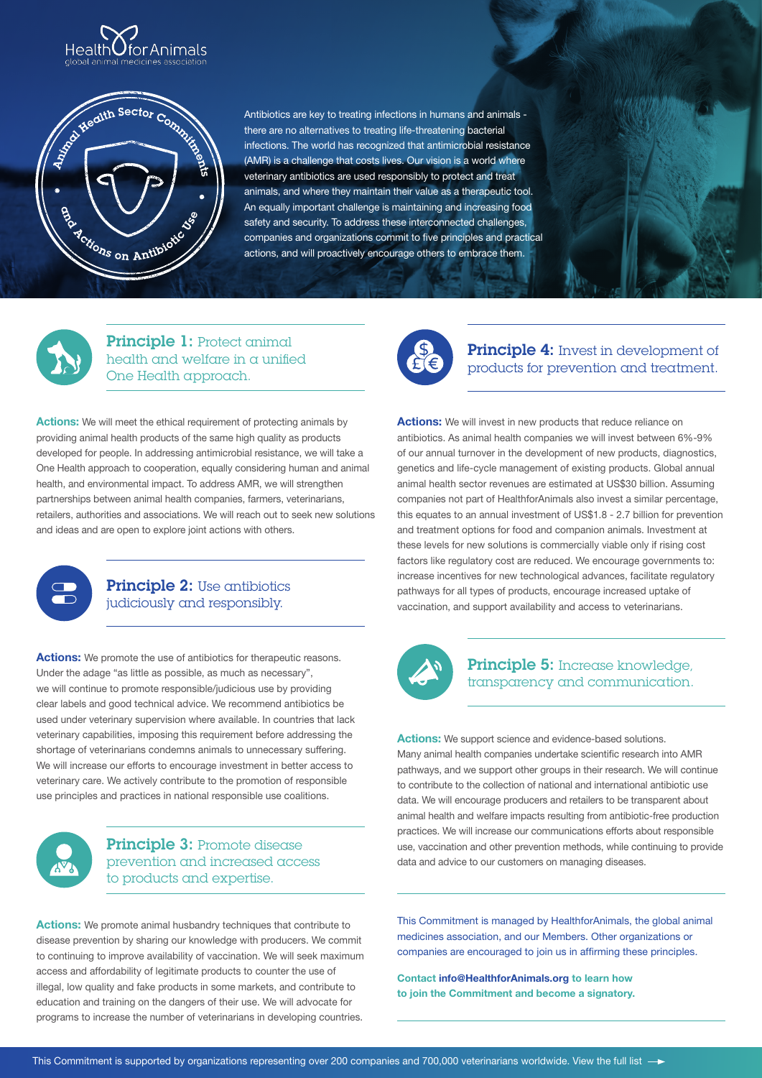



Antibiotics are key to treating infections in humans and animals there are no alternatives to treating life-threatening bacterial infections. The world has recognized that antimicrobial resistance (AMR) is a challenge that costs lives. Our vision is a world where veterinary antibiotics are used responsibly to protect and treat animals, and where they maintain their value as a therapeutic tool. An equally important challenge is maintaining and increasing food safety and security. To address these interconnected challenges, companies and organizations commit to five principles and practical actions, and will proactively encourage others to embrace them.



Principle 1: Protect animal health and welfare in a unified One Health approach.

**Actions:** We will meet the ethical requirement of protecting animals by providing animal health products of the same high quality as products developed for people. In addressing antimicrobial resistance, we will take a One Health approach to cooperation, equally considering human and animal health, and environmental impact. To address AMR, we will strengthen partnerships between animal health companies, farmers, veterinarians, retailers, authorities and associations. We will reach out to seek new solutions and ideas and are open to explore joint actions with others.



## Principle 2: Use antibiotics judiciously and responsibly.

Actions: We promote the use of antibiotics for therapeutic reasons. Under the adage "as little as possible, as much as necessary", we will continue to promote responsible/judicious use by providing clear labels and good technical advice. We recommend antibiotics be used under veterinary supervision where available. In countries that lack veterinary capabilities, imposing this requirement before addressing the shortage of veterinarians condemns animals to unnecessary suffering. We will increase our efforts to encourage investment in better access to veterinary care. We actively contribute to the promotion of responsible use principles and practices in national responsible use coalitions.



# Principle 3: Promote disease prevention and increased access to products and expertise.

**Actions:** We promote animal husbandry techniques that contribute to disease prevention by sharing our knowledge with producers. We commit to continuing to improve availability of vaccination. We will seek maximum access and affordability of legitimate products to counter the use of illegal, low quality and fake products in some markets, and contribute to education and training on the dangers of their use. We will advocate for programs to increase the number of veterinarians in developing countries.



**Principle 4:** Invest in development of products for prevention and treatment.

**Actions:** We will invest in new products that reduce reliance on antibiotics. As animal health companies we will invest between 6%-9% of our annual turnover in the development of new products, diagnostics, genetics and life-cycle management of existing products. Global annual animal health sector revenues are estimated at US\$30 billion. Assuming companies not part of HealthforAnimals also invest a similar percentage, this equates to an annual investment of US\$1.8 - 2.7 billion for prevention and treatment options for food and companion animals. Investment at these levels for new solutions is commercially viable only if rising cost factors like regulatory cost are reduced. We encourage governments to: increase incentives for new technological advances, facilitate regulatory pathways for all types of products, encourage increased uptake of vaccination, and support availability and access to veterinarians.



## Principle 5: Increase knowledge, transparency and communication.

**Actions:** We support science and evidence-based solutions. Many animal health companies undertake scientific research into AMR pathways, and we support other groups in their research. We will continue to contribute to the collection of national and international antibiotic use data. We will encourage producers and retailers to be transparent about animal health and welfare impacts resulting from antibiotic-free production practices. We will increase our communications efforts about responsible use, vaccination and other prevention methods, while continuing to provide data and advice to our customers on managing diseases.

This Commitment is managed by HealthforAnimals, the global animal medicines association, and our Members. Other organizations or companies are encouraged to join us in affirming these principles.

**Contact info@HealthforAnimals.org to learn how to join the Commitment and become a signatory.**